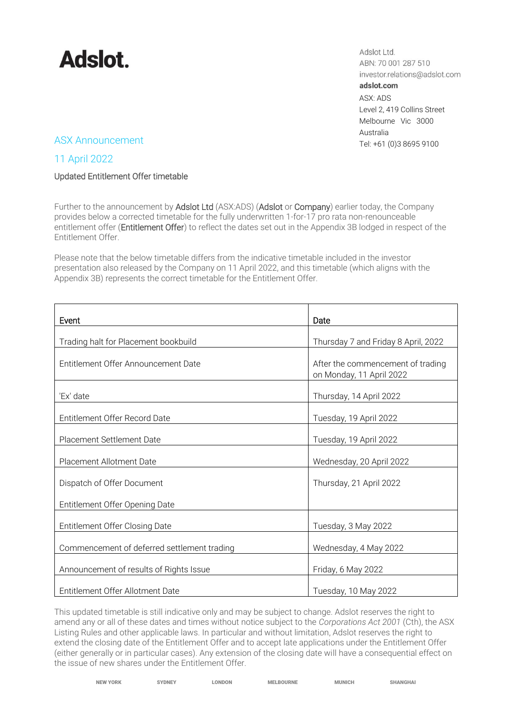

Adslot Ltd. ABN: 70 001 287 510 investor.relations@adslot.com adslot.com ASX: ADS Level 2, 419 Collins Street Melbourne Vic 3000 Australia ASX Announcement Tel: +61 (0)3 8695 9100

## 11 April 2022

### Updated Entitlement Offer timetable

Further to the announcement by Adslot Ltd (ASX:ADS) (Adslot or Company) earlier today, the Company provides below a corrected timetable for the fully underwritten 1-for-17 pro rata non-renounceable entitlement offer (Entitlement Offer) to reflect the dates set out in the Appendix 3B lodged in respect of the Entitlement Offer.

Please note that the below timetable differs from the indicative timetable included in the investor presentation also released by the Company on 11 April 2022, and this timetable (which aligns with the Appendix 3B) represents the correct timetable for the Entitlement Offer.

| Event                                       | Date                                                          |
|---------------------------------------------|---------------------------------------------------------------|
| Trading halt for Placement bookbuild        | Thursday 7 and Friday 8 April, 2022                           |
| Entitlement Offer Announcement Date         | After the commencement of trading<br>on Monday, 11 April 2022 |
| 'Ex' date                                   | Thursday, 14 April 2022                                       |
| Entitlement Offer Record Date               | Tuesday, 19 April 2022                                        |
| Placement Settlement Date                   | Tuesday, 19 April 2022                                        |
| Placement Allotment Date                    | Wednesday, 20 April 2022                                      |
| Dispatch of Offer Document                  | Thursday, 21 April 2022                                       |
| Entitlement Offer Opening Date              |                                                               |
| Entitlement Offer Closing Date              | Tuesday, 3 May 2022                                           |
| Commencement of deferred settlement trading | Wednesday, 4 May 2022                                         |
| Announcement of results of Rights Issue     | Friday, 6 May 2022                                            |
| Entitlement Offer Allotment Date            | Tuesday, 10 May 2022                                          |

This updated timetable is still indicative only and may be subject to change. Adslot reserves the right to amend any or all of these dates and times without notice subject to the *Corporations Act 2001* (Cth), the ASX Listing Rules and other applicable laws. In particular and without limitation, Adslot reserves the right to extend the closing date of the Entitlement Offer and to accept late applications under the Entitlement Offer (either generally or in particular cases). Any extension of the closing date will have a consequential effect on the issue of new shares under the Entitlement Offer.